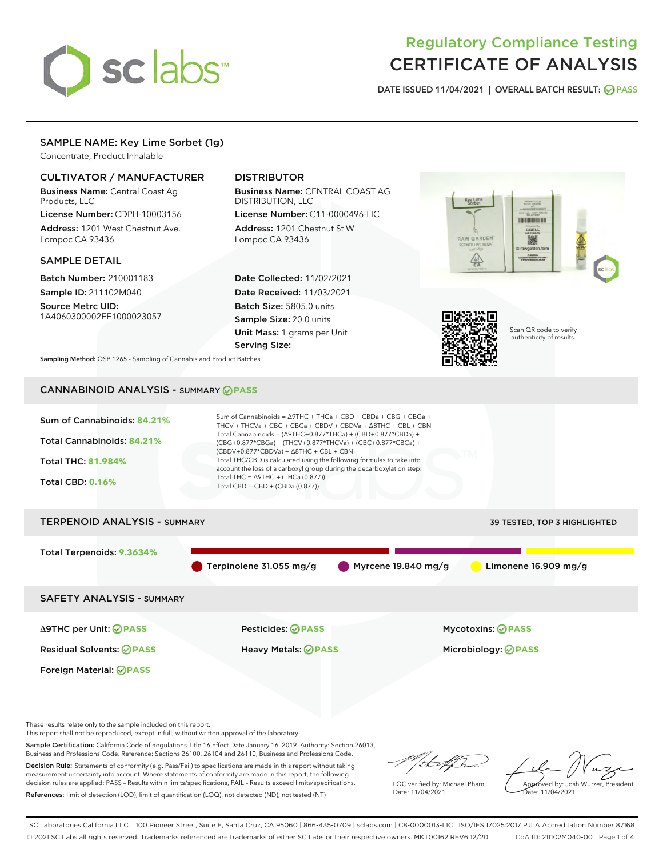

# Regulatory Compliance Testing CERTIFICATE OF ANALYSIS

DATE ISSUED 11/04/2021 | OVERALL BATCH RESULT: @ PASS

# SAMPLE NAME: Key Lime Sorbet (1g)

Concentrate, Product Inhalable

# CULTIVATOR / MANUFACTURER

Business Name: Central Coast Ag Products, LLC

License Number: CDPH-10003156 Address: 1201 West Chestnut Ave. Lompoc CA 93436

## SAMPLE DETAIL

Batch Number: 210001183 Sample ID: 211102M040

Source Metrc UID: 1A4060300002EE1000023057

# DISTRIBUTOR

Business Name: CENTRAL COAST AG DISTRIBUTION, LLC

License Number: C11-0000496-LIC Address: 1201 Chestnut St W Lompoc CA 93436

Date Collected: 11/02/2021 Date Received: 11/03/2021 Batch Size: 5805.0 units Sample Size: 20.0 units Unit Mass: 1 grams per Unit Serving Size:





Scan QR code to verify authenticity of results.

Sampling Method: QSP 1265 - Sampling of Cannabis and Product Batches

# CANNABINOID ANALYSIS - SUMMARY **PASS**



These results relate only to the sample included on this report.

This report shall not be reproduced, except in full, without written approval of the laboratory.

Sample Certification: California Code of Regulations Title 16 Effect Date January 16, 2019. Authority: Section 26013, Business and Professions Code. Reference: Sections 26100, 26104 and 26110, Business and Professions Code.

Decision Rule: Statements of conformity (e.g. Pass/Fail) to specifications are made in this report without taking measurement uncertainty into account. Where statements of conformity are made in this report, the following decision rules are applied: PASS – Results within limits/specifications, FAIL – Results exceed limits/specifications. References: limit of detection (LOD), limit of quantification (LOQ), not detected (ND), not tested (NT)

that f(ha

LQC verified by: Michael Pham Date: 11/04/2021

Approved by: Josh Wurzer, President Date: 11/04/2021

SC Laboratories California LLC. | 100 Pioneer Street, Suite E, Santa Cruz, CA 95060 | 866-435-0709 | sclabs.com | C8-0000013-LIC | ISO/IES 17025:2017 PJLA Accreditation Number 87168 © 2021 SC Labs all rights reserved. Trademarks referenced are trademarks of either SC Labs or their respective owners. MKT00162 REV6 12/20 CoA ID: 211102M040-001 Page 1 of 4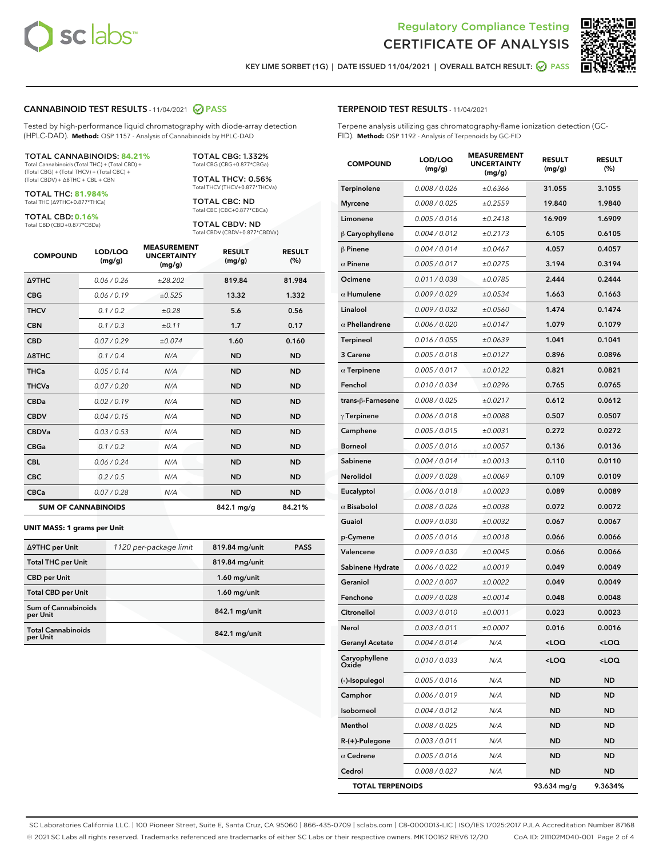



KEY LIME SORBET (1G) | DATE ISSUED 11/04/2021 | OVERALL BATCH RESULT: 2 PASS

### CANNABINOID TEST RESULTS - 11/04/2021 2 PASS

Tested by high-performance liquid chromatography with diode-array detection (HPLC-DAD). **Method:** QSP 1157 - Analysis of Cannabinoids by HPLC-DAD

#### TOTAL CANNABINOIDS: **84.21%**

Total Cannabinoids (Total THC) + (Total CBD) + (Total CBG) + (Total THCV) + (Total CBC) + (Total CBDV) + ∆8THC + CBL + CBN

TOTAL THC: **81.984%** Total THC (∆9THC+0.877\*THCa)

TOTAL CBD: **0.16%**

Total CBD (CBD+0.877\*CBDa)

TOTAL CBG: 1.332% Total CBG (CBG+0.877\*CBGa)

TOTAL THCV: 0.56% Total THCV (THCV+0.877\*THCVa)

TOTAL CBC: ND Total CBC (CBC+0.877\*CBCa)

TOTAL CBDV: ND Total CBDV (CBDV+0.877\*CBDVa)

| <b>COMPOUND</b>  | LOD/LOQ<br>(mg/g)          | <b>MEASUREMENT</b><br><b>UNCERTAINTY</b><br>(mg/g) | <b>RESULT</b><br>(mg/g) | <b>RESULT</b><br>(%) |
|------------------|----------------------------|----------------------------------------------------|-------------------------|----------------------|
| <b>A9THC</b>     | 0.06 / 0.26                | ±28.202                                            | 819.84                  | 81.984               |
| <b>CBG</b>       | 0.06/0.19                  | ±0.525                                             | 13.32                   | 1.332                |
| <b>THCV</b>      | 0.1 / 0.2                  | ±0.28                                              | 5.6                     | 0.56                 |
| <b>CBN</b>       | 0.1/0.3                    | ±0.11                                              | 1.7                     | 0.17                 |
| <b>CBD</b>       | 0.07/0.29                  | ±0.074                                             | 1.60                    | 0.160                |
| $\triangle$ 8THC | 0.1/0.4                    | N/A                                                | <b>ND</b>               | <b>ND</b>            |
| <b>THCa</b>      | 0.05/0.14                  | N/A                                                | <b>ND</b>               | <b>ND</b>            |
| <b>THCVa</b>     | 0.07/0.20                  | N/A                                                | <b>ND</b>               | <b>ND</b>            |
| <b>CBDa</b>      | 0.02/0.19                  | N/A                                                | <b>ND</b>               | <b>ND</b>            |
| <b>CBDV</b>      | 0.04 / 0.15                | N/A                                                | <b>ND</b>               | <b>ND</b>            |
| <b>CBDVa</b>     | 0.03/0.53                  | N/A                                                | <b>ND</b>               | <b>ND</b>            |
| <b>CBGa</b>      | 0.1 / 0.2                  | N/A                                                | <b>ND</b>               | <b>ND</b>            |
| <b>CBL</b>       | 0.06 / 0.24                | N/A                                                | <b>ND</b>               | <b>ND</b>            |
| <b>CBC</b>       | 0.2 / 0.5                  | N/A                                                | <b>ND</b>               | <b>ND</b>            |
| <b>CBCa</b>      | 0.07/0.28                  | N/A                                                | <b>ND</b>               | <b>ND</b>            |
|                  | <b>SUM OF CANNABINOIDS</b> |                                                    | 842.1 mg/g              | 84.21%               |

#### **UNIT MASS: 1 grams per Unit**

| ∆9THC per Unit                         | 1120 per-package limit | 819.84 mg/unit  | <b>PASS</b> |
|----------------------------------------|------------------------|-----------------|-------------|
| <b>Total THC per Unit</b>              |                        | 819.84 mg/unit  |             |
| <b>CBD per Unit</b>                    |                        | $1.60$ mg/unit  |             |
| <b>Total CBD per Unit</b>              |                        | $1.60$ mg/unit  |             |
| <b>Sum of Cannabinoids</b><br>per Unit |                        | 842.1 mg/unit   |             |
| <b>Total Cannabinoids</b><br>per Unit  |                        | $842.1$ mg/unit |             |

| <b>TERPENOID TEST RESULTS - 11/04/2021</b> |  |
|--------------------------------------------|--|
|                                            |  |

Terpene analysis utilizing gas chromatography-flame ionization detection (GC-FID). **Method:** QSP 1192 - Analysis of Terpenoids by GC-FID

| <b>COMPOUND</b>         | LOD/LOQ<br>(mg/g) | <b>MEASUREMENT</b><br><b>UNCERTAINTY</b><br>(mg/g) | <b>RESULT</b><br>(mg/g)                         | <b>RESULT</b><br>$(\%)$ |
|-------------------------|-------------------|----------------------------------------------------|-------------------------------------------------|-------------------------|
| Terpinolene             | 0.008 / 0.026     | ±0.6366                                            | 31.055                                          | 3.1055                  |
| <b>Myrcene</b>          | 0.008 / 0.025     | ±0.2559                                            | 19.840                                          | 1.9840                  |
| Limonene                | 0.005 / 0.016     | ±0.2418                                            | 16.909                                          | 1.6909                  |
| $\upbeta$ Caryophyllene | 0.004 / 0.012     | ±0.2173                                            | 6.105                                           | 0.6105                  |
| $\beta$ Pinene          | 0.004 / 0.014     | ±0.0467                                            | 4.057                                           | 0.4057                  |
| $\alpha$ Pinene         | 0.005 / 0.017     | ±0.0275                                            | 3.194                                           | 0.3194                  |
| Ocimene                 | 0.011 / 0.038     | ±0.0785                                            | 2.444                                           | 0.2444                  |
| $\alpha$ Humulene       | 0.009/0.029       | ±0.0534                                            | 1.663                                           | 0.1663                  |
| Linalool                | 0.009 / 0.032     | ±0.0560                                            | 1.474                                           | 0.1474                  |
| $\alpha$ Phellandrene   | 0.006 / 0.020     | ±0.0147                                            | 1.079                                           | 0.1079                  |
| Terpineol               | 0.016 / 0.055     | ±0.0639                                            | 1.041                                           | 0.1041                  |
| 3 Carene                | 0.005 / 0.018     | ±0.0127                                            | 0.896                                           | 0.0896                  |
| $\alpha$ Terpinene      | 0.005 / 0.017     | ±0.0122                                            | 0.821                                           | 0.0821                  |
| Fenchol                 | 0.010 / 0.034     | ±0.0296                                            | 0.765                                           | 0.0765                  |
| trans-ß-Farnesene       | 0.008 / 0.025     | ±0.0217                                            | 0.612                                           | 0.0612                  |
| $\gamma$ Terpinene      | 0.006 / 0.018     | ±0.0088                                            | 0.507                                           | 0.0507                  |
| Camphene                | 0.005 / 0.015     | ±0.0031                                            | 0.272                                           | 0.0272                  |
| <b>Borneol</b>          | 0.005 / 0.016     | ±0.0057                                            | 0.136                                           | 0.0136                  |
| Sabinene                | 0.004 / 0.014     | ±0.0013                                            | 0.110                                           | 0.0110                  |
| Nerolidol               | 0.009 / 0.028     | ±0.0069                                            | 0.109                                           | 0.0109                  |
| Eucalyptol              | 0.006 / 0.018     | ±0.0023                                            | 0.089                                           | 0.0089                  |
| $\alpha$ Bisabolol      | 0.008 / 0.026     | ±0.0038                                            | 0.072                                           | 0.0072                  |
| Guaiol                  | 0.009 / 0.030     | ±0.0032                                            | 0.067                                           | 0.0067                  |
| p-Cymene                | 0.005 / 0.016     | ±0.0018                                            | 0.066                                           | 0.0066                  |
| Valencene               | 0.009 / 0.030     | ±0.0045                                            | 0.066                                           | 0.0066                  |
| Sabinene Hydrate        | 0.006 / 0.022     | ±0.0019                                            | 0.049                                           | 0.0049                  |
| Geraniol                | 0.002 / 0.007     | ±0.0022                                            | 0.049                                           | 0.0049                  |
| Fenchone                | 0.009 / 0.028     | ±0.0014                                            | 0.048                                           | 0.0048                  |
| Citronellol             | 0.003 / 0.010     | ±0.0011                                            | 0.023                                           | 0.0023                  |
| Nerol                   | 0.003 / 0.011     | ±0.0007                                            | 0.016                                           | 0.0016                  |
| <b>Geranyl Acetate</b>  | 0.004 / 0.014     | N/A                                                | <loq< th=""><th><loq< th=""></loq<></th></loq<> | <loq< th=""></loq<>     |
| Caryophyllene<br>Oxide  | 0.010 / 0.033     | N/A                                                | 100                                             | <loq< th=""></loq<>     |
| (-)-Isopulegol          | 0.005 / 0.016     | N/A                                                | ND                                              | <b>ND</b>               |
| Camphor                 | 0.006 / 0.019     | N/A                                                | ND                                              | ND                      |
| Isoborneol              | 0.004 / 0.012     | N/A                                                | ND                                              | ND                      |
| Menthol                 | 0.008 / 0.025     | N/A                                                | ND                                              | <b>ND</b>               |
| $R-(+)$ -Pulegone       | 0.003 / 0.011     | N/A                                                | ND                                              | ND                      |
| $\alpha$ Cedrene        | 0.005 / 0.016     | N/A                                                | ND                                              | ND                      |
| Cedrol                  | 0.008 / 0.027     | N/A                                                | ND                                              | ND                      |
| <b>TOTAL TERPENOIDS</b> |                   |                                                    | 93.634 mg/g                                     | 9.3634%                 |

SC Laboratories California LLC. | 100 Pioneer Street, Suite E, Santa Cruz, CA 95060 | 866-435-0709 | sclabs.com | C8-0000013-LIC | ISO/IES 17025:2017 PJLA Accreditation Number 87168 © 2021 SC Labs all rights reserved. Trademarks referenced are trademarks of either SC Labs or their respective owners. MKT00162 REV6 12/20 CoA ID: 211102M040-001 Page 2 of 4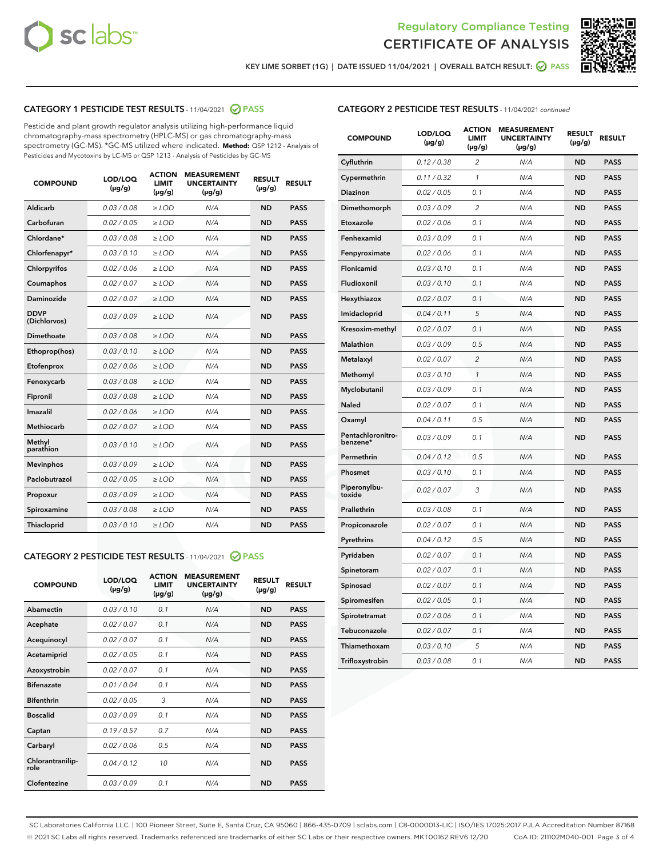



KEY LIME SORBET (1G) | DATE ISSUED 11/04/2021 | OVERALL BATCH RESULT:  $\bigcirc$  PASS

# CATEGORY 1 PESTICIDE TEST RESULTS - 11/04/2021 2 PASS

Pesticide and plant growth regulator analysis utilizing high-performance liquid chromatography-mass spectrometry (HPLC-MS) or gas chromatography-mass spectrometry (GC-MS). \*GC-MS utilized where indicated. **Method:** QSP 1212 - Analysis of Pesticides and Mycotoxins by LC-MS or QSP 1213 - Analysis of Pesticides by GC-MS

| <b>COMPOUND</b>             | LOD/LOQ<br>$(\mu g/g)$ | <b>ACTION</b><br><b>LIMIT</b><br>$(\mu g/g)$ | <b>MEASUREMENT</b><br><b>UNCERTAINTY</b><br>$(\mu g/g)$ | <b>RESULT</b><br>$(\mu g/g)$ | <b>RESULT</b> |
|-----------------------------|------------------------|----------------------------------------------|---------------------------------------------------------|------------------------------|---------------|
| Aldicarb                    | 0.03 / 0.08            | $\ge$ LOD                                    | N/A                                                     | <b>ND</b>                    | <b>PASS</b>   |
| Carbofuran                  | 0.02/0.05              | $>$ LOD                                      | N/A                                                     | <b>ND</b>                    | <b>PASS</b>   |
| Chlordane*                  | 0.03 / 0.08            | $\ge$ LOD                                    | N/A                                                     | <b>ND</b>                    | <b>PASS</b>   |
| Chlorfenapyr*               | 0.03/0.10              | $\ge$ LOD                                    | N/A                                                     | <b>ND</b>                    | <b>PASS</b>   |
| Chlorpyrifos                | 0.02 / 0.06            | $\ge$ LOD                                    | N/A                                                     | <b>ND</b>                    | <b>PASS</b>   |
| Coumaphos                   | 0.02 / 0.07            | $>$ LOD                                      | N/A                                                     | <b>ND</b>                    | <b>PASS</b>   |
| Daminozide                  | 0.02 / 0.07            | $\ge$ LOD                                    | N/A                                                     | <b>ND</b>                    | <b>PASS</b>   |
| <b>DDVP</b><br>(Dichlorvos) | 0.03/0.09              | $\ge$ LOD                                    | N/A                                                     | <b>ND</b>                    | <b>PASS</b>   |
| <b>Dimethoate</b>           | 0.03 / 0.08            | $\ge$ LOD                                    | N/A                                                     | <b>ND</b>                    | <b>PASS</b>   |
| Ethoprop(hos)               | 0.03/0.10              | $>$ LOD                                      | N/A                                                     | <b>ND</b>                    | <b>PASS</b>   |
| Etofenprox                  | 0.02 / 0.06            | $\ge$ LOD                                    | N/A                                                     | <b>ND</b>                    | <b>PASS</b>   |
| Fenoxycarb                  | 0.03 / 0.08            | $>$ LOD                                      | N/A                                                     | <b>ND</b>                    | <b>PASS</b>   |
| Fipronil                    | 0.03 / 0.08            | $\ge$ LOD                                    | N/A                                                     | <b>ND</b>                    | <b>PASS</b>   |
| Imazalil                    | 0.02 / 0.06            | $\ge$ LOD                                    | N/A                                                     | <b>ND</b>                    | <b>PASS</b>   |
| Methiocarb                  | 0.02 / 0.07            | $\ge$ LOD                                    | N/A                                                     | <b>ND</b>                    | <b>PASS</b>   |
| Methyl<br>parathion         | 0.03/0.10              | $>$ LOD                                      | N/A                                                     | <b>ND</b>                    | <b>PASS</b>   |
| <b>Mevinphos</b>            | 0.03/0.09              | $>$ LOD                                      | N/A                                                     | <b>ND</b>                    | <b>PASS</b>   |
| Paclobutrazol               | 0.02 / 0.05            | $\ge$ LOD                                    | N/A                                                     | <b>ND</b>                    | <b>PASS</b>   |
| Propoxur                    | 0.03/0.09              | $\ge$ LOD                                    | N/A                                                     | <b>ND</b>                    | <b>PASS</b>   |
| Spiroxamine                 | 0.03 / 0.08            | $\ge$ LOD                                    | N/A                                                     | <b>ND</b>                    | <b>PASS</b>   |
| <b>Thiacloprid</b>          | 0.03/0.10              | $\ge$ LOD                                    | N/A                                                     | <b>ND</b>                    | <b>PASS</b>   |
|                             |                        |                                              |                                                         |                              |               |

# CATEGORY 2 PESTICIDE TEST RESULTS - 11/04/2021 @ PASS

| <b>COMPOUND</b>          | LOD/LOO<br>$(\mu g/g)$ | <b>ACTION</b><br>LIMIT<br>$(\mu g/g)$ | <b>MEASUREMENT</b><br><b>UNCERTAINTY</b><br>$(\mu g/g)$ | <b>RESULT</b><br>$(\mu g/g)$ | <b>RESULT</b> |  |
|--------------------------|------------------------|---------------------------------------|---------------------------------------------------------|------------------------------|---------------|--|
| Abamectin                | 0.03/0.10              | 0.1                                   | N/A                                                     | <b>ND</b>                    | <b>PASS</b>   |  |
| Acephate                 | 0.02/0.07              | 0.1                                   | N/A                                                     | <b>ND</b>                    | <b>PASS</b>   |  |
| Acequinocyl              | 0.02/0.07              | 0.1                                   | N/A                                                     | <b>ND</b>                    | <b>PASS</b>   |  |
| Acetamiprid              | 0.02/0.05              | 0.1                                   | N/A                                                     | <b>ND</b>                    | <b>PASS</b>   |  |
| Azoxystrobin             | 0.02/0.07              | 0.1                                   | N/A                                                     | <b>ND</b>                    | <b>PASS</b>   |  |
| <b>Bifenazate</b>        | 0.01/0.04              | 0.1                                   | N/A                                                     | <b>ND</b>                    | <b>PASS</b>   |  |
| <b>Bifenthrin</b>        | 0.02/0.05              | 3                                     | N/A                                                     | <b>ND</b>                    | <b>PASS</b>   |  |
| <b>Boscalid</b>          | 0.03/0.09              | 0.1                                   | N/A                                                     | <b>ND</b>                    | <b>PASS</b>   |  |
| Captan                   | 0.19/0.57              | 0.7                                   | N/A                                                     | <b>ND</b>                    | <b>PASS</b>   |  |
| Carbaryl                 | 0.02/0.06              | 0.5                                   | N/A                                                     | <b>ND</b>                    | <b>PASS</b>   |  |
| Chlorantranilip-<br>role | 0.04/0.12              | 10                                    | N/A                                                     | <b>ND</b>                    | <b>PASS</b>   |  |
| Clofentezine             | 0.03/0.09              | 0.1                                   | N/A                                                     | <b>ND</b>                    | <b>PASS</b>   |  |

# CATEGORY 2 PESTICIDE TEST RESULTS - 11/04/2021 continued

| <b>COMPOUND</b>               | LOD/LOQ<br>(µg/g) | <b>ACTION</b><br><b>LIMIT</b><br>(µg/g) | <b>MEASUREMENT</b><br><b>UNCERTAINTY</b><br>(µg/g) | <b>RESULT</b><br>(µg/g) | <b>RESULT</b> |
|-------------------------------|-------------------|-----------------------------------------|----------------------------------------------------|-------------------------|---------------|
| Cyfluthrin                    | 0.12 / 0.38       | $\overline{c}$                          | N/A                                                | <b>ND</b>               | <b>PASS</b>   |
| Cypermethrin                  | 0.11/0.32         | 1                                       | N/A                                                | <b>ND</b>               | <b>PASS</b>   |
| <b>Diazinon</b>               | 0.02 / 0.05       | 0.1                                     | N/A                                                | <b>ND</b>               | <b>PASS</b>   |
| Dimethomorph                  | 0.03 / 0.09       | 2                                       | N/A                                                | <b>ND</b>               | <b>PASS</b>   |
| Etoxazole                     | 0.02 / 0.06       | 0.1                                     | N/A                                                | <b>ND</b>               | <b>PASS</b>   |
| Fenhexamid                    | 0.03 / 0.09       | 0.1                                     | N/A                                                | <b>ND</b>               | <b>PASS</b>   |
| Fenpyroximate                 | 0.02 / 0.06       | 0.1                                     | N/A                                                | <b>ND</b>               | <b>PASS</b>   |
| Flonicamid                    | 0.03/0.10         | 0.1                                     | N/A                                                | <b>ND</b>               | <b>PASS</b>   |
| Fludioxonil                   | 0.03 / 0.10       | 0.1                                     | N/A                                                | <b>ND</b>               | <b>PASS</b>   |
| Hexythiazox                   | 0.02 / 0.07       | 0.1                                     | N/A                                                | <b>ND</b>               | <b>PASS</b>   |
| Imidacloprid                  | 0.04 / 0.11       | 5                                       | N/A                                                | <b>ND</b>               | <b>PASS</b>   |
| Kresoxim-methyl               | 0.02 / 0.07       | 0.1                                     | N/A                                                | <b>ND</b>               | <b>PASS</b>   |
| <b>Malathion</b>              | 0.03 / 0.09       | 0.5                                     | N/A                                                | <b>ND</b>               | <b>PASS</b>   |
| Metalaxyl                     | 0.02 / 0.07       | $\overline{c}$                          | N/A                                                | <b>ND</b>               | <b>PASS</b>   |
| Methomyl                      | 0.03 / 0.10       | 1                                       | N/A                                                | <b>ND</b>               | <b>PASS</b>   |
| Myclobutanil                  | 0.03 / 0.09       | 0.1                                     | N/A                                                | <b>ND</b>               | <b>PASS</b>   |
| Naled                         | 0.02 / 0.07       | 0.1                                     | N/A                                                | <b>ND</b>               | <b>PASS</b>   |
| Oxamyl                        | 0.04 / 0.11       | 0.5                                     | N/A                                                | <b>ND</b>               | <b>PASS</b>   |
| Pentachloronitro-<br>benzene* | 0.03 / 0.09       | 0.1                                     | N/A                                                | <b>ND</b>               | <b>PASS</b>   |
| Permethrin                    | 0.04 / 0.12       | 0.5                                     | N/A                                                | <b>ND</b>               | <b>PASS</b>   |
| Phosmet                       | 0.03 / 0.10       | 0.1                                     | N/A                                                | <b>ND</b>               | <b>PASS</b>   |
| Piperonylbu-<br>toxide        | 0.02 / 0.07       | 3                                       | N/A                                                | <b>ND</b>               | <b>PASS</b>   |
| Prallethrin                   | 0.03 / 0.08       | 0.1                                     | N/A                                                | <b>ND</b>               | <b>PASS</b>   |
| Propiconazole                 | 0.02 / 0.07       | 0.1                                     | N/A                                                | <b>ND</b>               | <b>PASS</b>   |
| Pyrethrins                    | 0.04 / 0.12       | 0.5                                     | N/A                                                | ND                      | <b>PASS</b>   |
| Pyridaben                     | 0.02 / 0.07       | 0.1                                     | N/A                                                | <b>ND</b>               | <b>PASS</b>   |
| Spinetoram                    | 0.02 / 0.07       | 0.1                                     | N/A                                                | <b>ND</b>               | <b>PASS</b>   |
| Spinosad                      | 0.02 / 0.07       | 0.1                                     | N/A                                                | <b>ND</b>               | <b>PASS</b>   |
| Spiromesifen                  | 0.02 / 0.05       | 0.1                                     | N/A                                                | <b>ND</b>               | <b>PASS</b>   |
| Spirotetramat                 | 0.02 / 0.06       | 0.1                                     | N/A                                                | <b>ND</b>               | <b>PASS</b>   |
| Tebuconazole                  | 0.02 / 0.07       | 0.1                                     | N/A                                                | <b>ND</b>               | <b>PASS</b>   |
| Thiamethoxam                  | 0.03 / 0.10       | 5                                       | N/A                                                | <b>ND</b>               | <b>PASS</b>   |
| Trifloxystrobin               | 0.03 / 0.08       | 0.1                                     | N/A                                                | <b>ND</b>               | <b>PASS</b>   |

SC Laboratories California LLC. | 100 Pioneer Street, Suite E, Santa Cruz, CA 95060 | 866-435-0709 | sclabs.com | C8-0000013-LIC | ISO/IES 17025:2017 PJLA Accreditation Number 87168 © 2021 SC Labs all rights reserved. Trademarks referenced are trademarks of either SC Labs or their respective owners. MKT00162 REV6 12/20 CoA ID: 211102M040-001 Page 3 of 4